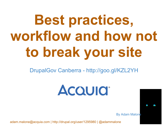# **Best practices, workflow and how not to break your site**

DrupalGov Canberra - http://goo.gl/KZL2YH

**ACQUICI** 

By Adam Malone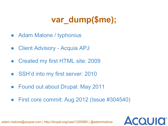# **var\_dump(\$me);**

- Adam Malone / typhonius
- Client Advisory Acquia APJ
- Created my first HTML site: 2009
- SSH'd into my first server: 2010
- Found out about Drupal: May 2011
- First core commit: Aug 2012 (Issue #304540)

**ACQUIO**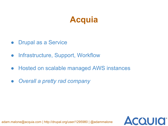#### **Acquia**

- Drupal as a Service
- Infrastructure, Support, Workflow
- Hosted on scalable managed AWS instances
- *● Overall a pretty rad company*

**ACQUIO**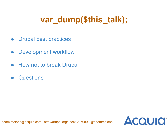# **var\_dump(\$this\_talk);**

**ACQUIO** 

- Drupal best practices
- Development workflow
- How not to break Drupal
- **Questions**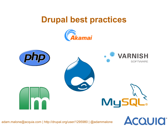#### **Drupal best practices**





**ACQUICI®**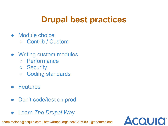# **Drupal best practices**

- Module choice ○ Contrib / Custom
- Writing custom modules
	- Performance
	- Security
	- Coding standards
- Features
- Don't code/test on prod
- Learn *The Drupal Way*

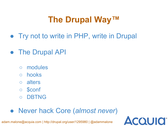# **The Drupal Way™**

**COUIO** 

- Try not to write in PHP, write in Drupal
- The Drupal API
	- modules
	- hooks
	- alters
	- \$conf
	- **DBTNG**

#### ● Never hack Core (*almost never*)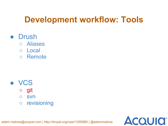## **Development workflow: Tools**

**ACQUIO** 

- **Drush** 
	- Aliases
	- Local
	- Remote

- **VCS** 
	- git
	- svn
	- revisioning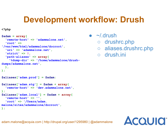### **Development workflow: Drush**

**<?php**

```
$adam = array(
   'remote-host' => 'adammalone.net',
   'root' =>
'/var/www/html/adammalone/docroot',
   'uri' => 'adammalone.net',
   'strict' => 0,
   'path-aliases' => array(
     '%dump-dir' => '/home/adammalone/drush-
dumps/adammalone.net',
   ),
);
$aliases['adam.prod'] = $adam;
$aliases['adam.stg'] = $adam + array(
   'remote-host' => 'dev.adammalone.net',
);
$aliases['adam.local'] = $adam + array(
   'remote-host' => '',
   'root' => '/Users/adam.
malone/sites/adammalone/docroot',
);
```
 $\sim$ /.drush

- drushrc.php
- aliases.drushrc.php

**ACQUID** 

○ drush.ini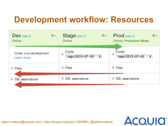### **Development workflow: Resources**

| 春天<br>$\mathbf{Dev}$ visit $\mathbf{C}$<br>Online | Stage visit &<br>☆←<br>Online                  | <b>Prod</b> visit $\mathbb{Z}$<br>÷\$<br><b>Online, Production Mode</b> |
|---------------------------------------------------|------------------------------------------------|-------------------------------------------------------------------------|
| Code: Live development<br>Learn more              | Code:<br>∯<br>tags/2013-07-30<br>$\Rightarrow$ | Code:<br>⊕<br>tags/2013-07-02<br>$\ddot{•}$                             |
| $\div$ Files                                      | $+$ Files                                      | $\div$ Files                                                            |
| $+$ DB: eeamalone                                 | $\pm$ DB: eeamalone                            | $\pm$ DB: eeamalone                                                     |
|                                                   |                                                |                                                                         |

**AcQUICI**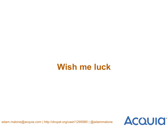#### **Wish me luck**

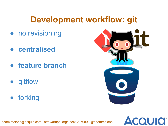#### **Development workflow: git**

- no revisioning
- **● centralised**
- **● feature branch**
- gitflow
- forking



**ACQUICI**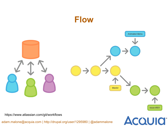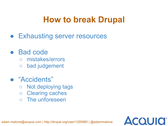#### **How to break Drupal**

**Exhausting server resources** 

#### **Bad code**

- mistakes/errors
- bad judgement
- "Accidents"
	- Not deploying tags
	- Clearing caches
	- The unforeseen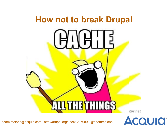

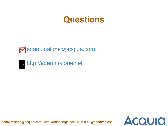#### **Questions**

**ACQUICI** 



http://adammalone.net